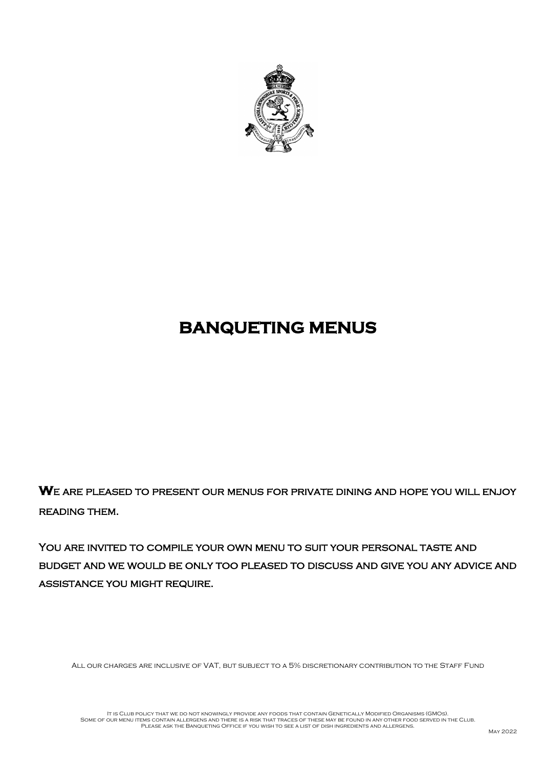

# **BANQUETING MENUS**

**W**e are pleased to present our menus for private dining and hope you will enjoy reading them.

YOU ARE INVITED TO COMPILE YOUR OWN MENU TO SUIT YOUR PERSONAL TASTE AND budget and we would be only too pleased to discuss and give you any advice and assistance you might require.

ALL OUR CHARGES ARE INCLUSIVE OF VAT, BUT SUBJECT TO A 5% DISCRETIONARY CONTRIBUTION TO THE STAFF FUND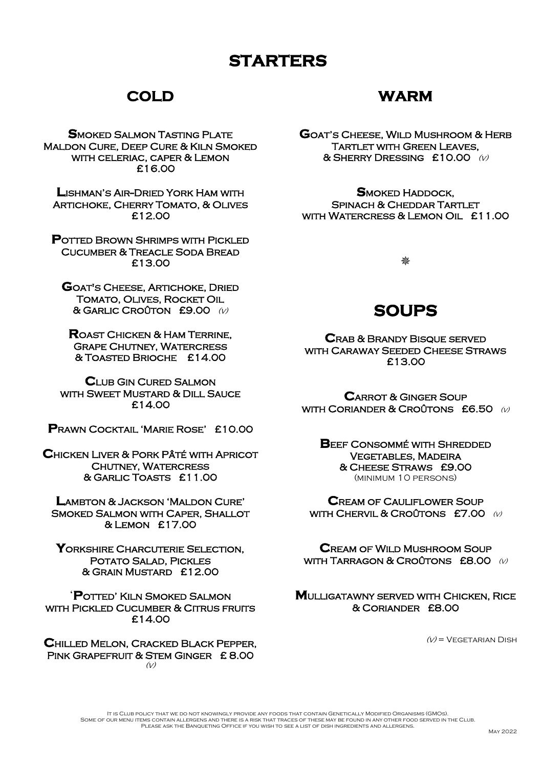# **STARTERS**

## **COLD**

**SMOKED SALMON TASTING PLATE** Maldon Cure, Deep Cure & Kiln Smoked with celeriac, caper & Lemon £16.00

**L**ishman's Air--Dried York Ham with Artichoke, Cherry Tomato, & Olives £12.00

**POTTED BROWN SHRIMPS WITH PICKLED** Cucumber & Treacle Soda Bread £13.00

**G**oat's Cheese, Artichoke, Dried Tomato, Olives, Rocket Oil & Garlic Croûton £9.00 (v)

**R**oast Chicken & Ham Terrine, Grape Chutney, Watercress & Toasted Brioche £14.00

**C**lub Gin Cured Salmon WITH SWEET MUSTARD & DILL SAUCE £14.00

**P**rawn Cocktail 'Marie Rose' £10.00

**C**hicken Liver & Pork Pâté with Apricot **CHUTNEY, WATERCRESS** & Garlic Toasts £11.00

**L**ambton & Jackson 'Maldon Cure' Smoked Salmon with Caper, Shallot & Lemon £17.00

YORKSHIRE CHARCUTERIE SELECTION, Potato Salad, Pickles & Grain Mustard £12.00

'**P**otted' Kiln Smoked Salmon WITH PICKLED CUCUMBER & CITRUS FRUITS £14.00

**C**hilled Melon, Cracked Black Pepper, Pink Grapefruit & Stem Ginger £ 8.00  $(y)$ 

## **WARM**

**G**oat's Cheese, Wild Mushroom & Herb Tartlet with Green Leaves, & Sherry Dressing £10.00 (v)

**S**moked Haddock, Spinach & Cheddar Tartlet with Watercress & Lemon Oil £11.00

₩

## **SOUPS**

**C**rab & Brandy Bisque served WITH CARAWAY SEEDED CHEESE STRAWS £13.00

**C**arrot & Ginger Soup WITH CORIANDER & CROÛTONS  $E6.50 \quad (v)$ 

**BEEF CONSOMMÉ WITH SHREDDED** Vegetables, Madeira & Cheese Straws £9.00 (minimum 10 persons)

**C**ream of Cauliflower Soup WITH CHERVIL & CROÛTONS £7.00  $\omega$ 

**C**ream of Wild Mushroom Soup WITH TARRAGON & CROUTONS  $E8.00 W$ 

#### **M**ulligatawny served with Chicken, Rice & Coriander £8.00

 $(V)$  = VEGETARIAN DISH

It is Club policy that we do not knowingly provide any foods that contain Genetically Modified Organisms (GMOs). SOME OF OUR MENU ITEMS CONTAIN ALLERGENS AND THERE IS A RISK THAT TRACES OF THESE MAY BE FOUND IN ANY OTHER FOOD SERVED IN THE CLUB.<br>PI FASE ASK THE BANOUFTING OFFICE IF YOU WISH TO SEE A LIST OF DISH INGREDIENTS AND ALLER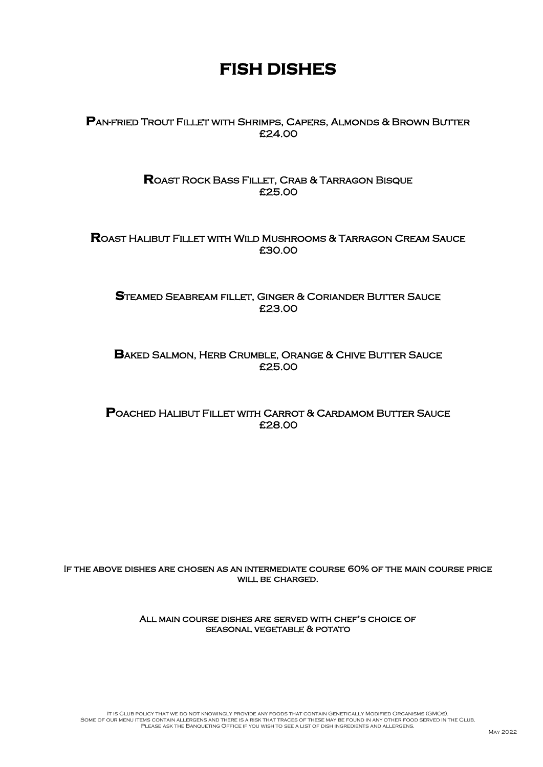# **FISH DISHES**

**P**an-fried Trout Fillet with Shrimps, Capers, Almonds & Brown Butter £24.00

> **R**oast Rock Bass Fillet, Crab & Tarragon Bisque £25.00

**R**oast Halibut Fillet with Wild Mushrooms & Tarragon Cream Sauce £30.00

**S**teamed Seabream fillet, Ginger & Coriander Butter Sauce £23.00

**BAKED SALMON, HERB CRUMBLE, ORANGE & CHIVE BUTTER SAUCE** £25.00

**P**oached Halibut Fillet with Carrot & Cardamom Butter Sauce £28.00

If the above dishes are chosen as an intermediate course 60% of the main course price WILL BE CHARGED.

> All main course dishes are served with chef's choice of seasonal vegetable & potato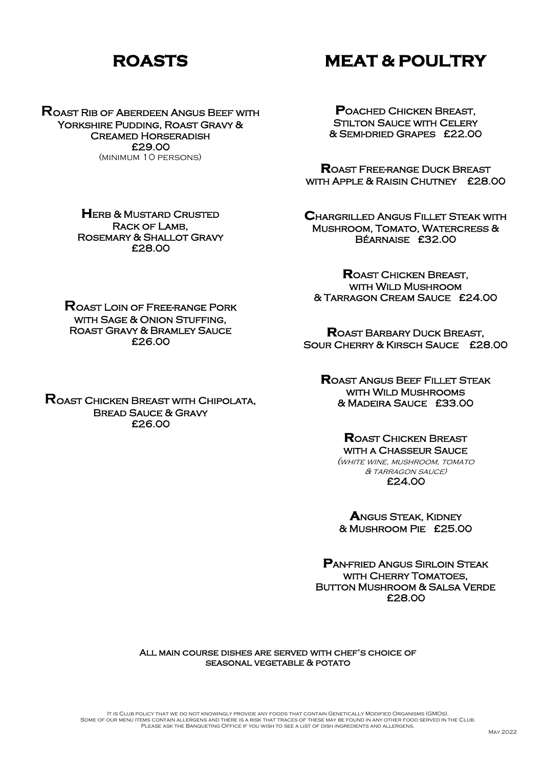# **ROASTS**

# **MEAT & POULTRY**

**R**oast Rib of Aberdeen Angus Beef with YORKSHIRE PUDDING, ROAST GRAVY & Creamed Horseradish £29.00 (minimum 10 persons)

**P**oached Chicken Breast, **STILTON SAUCE WITH CELERY** & Semi-dried Grapes £22.00

**R**oast Free-range Duck Breast WITH APPLE & RAISIN CHUTNEY £28.00

**C**hargrilled Angus Fillet Steak with Mushroom, Tomato, Watercress & Béarnaise £32.00

**R**oast Chicken Breast, with Wild Mushroom & Tarragon Cream Sauce £24.00

**R**oast Barbary Duck Breast, Sour Cherry & Kirsch Sauce £28.00

**R**oast Angus Beef Fillet Steak WITH WILD MUSHROOMS & Madeira Sauce £33.00

#### **R**oast Chicken Breast with a Chasseur Sauce

(white wine, mushroom, tomato & tarragon sauce) £24.00

**A**ngus Steak, Kidney & Mushroom Pie £25.00

**P**an-fried Angus Sirloin Steak WITH CHERRY TOMATOES. Button Mushroom & Salsa Verde £28.00

All main course dishes are served with chef's choice of seasonal vegetable & potato

**HERB & MUSTARD CRUSTED** Rack of Lamb, Rosemary & Shallot Gravy £28.00

**R**oast Loin of Free-range Pork WITH SAGE & ONION STUFFING. Roast Gravy & Bramley Sauce £26.00

**R**oast Chicken Breast with Chipolata, Bread Sauce & Gravy

£26.00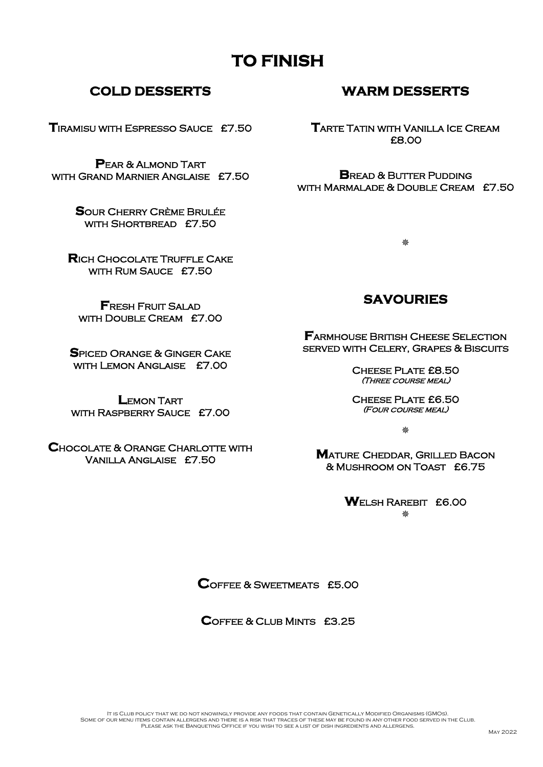### **COLD DESSERTS**

**T**iramisu with Espresso Sauce £7.50

**P**ear & Almond Tart with Grand Marnier Anglaise £7.50

> **S**our Cherry Crème Brulée with Shortbread £7.50

**R**ich Chocolate Truffle Cake WITH RUM SAUCE £7.50

**F**resh Fruit Salad with Double Cream £7.00

**S**piced Orange & Ginger Cake with Lemon Anglaise £7.00

**L**emon Tart with Raspberry Sauce £7.00

**C**hocolate & Orange Charlotte with Vanilla Anglaise £7.50

### **WARM DESSERTS**

**T**arte Tatin with Vanilla Ice Cream £8.00

**B**READ & BUTTER PUDDING with Marmalade & Double Cream £7.50

Δż

### **SAVOURIES**

**FARMHOUSE BRITISH CHEESE SELECTION** served with Celery, Grapes & Biscuits

> CHEESE PLATE £8.50 (Three course meal)

> Cheese Plate £6.50 (Four course meal)

> > 黎

**M**atureCheddar, Grilled Bacon & Mushroom on Toast £6.75

**W**elsh Rarebit £6.00

磐

**C**offee & Sweetmeats £5.00

**C**offee & Club Mints £3.25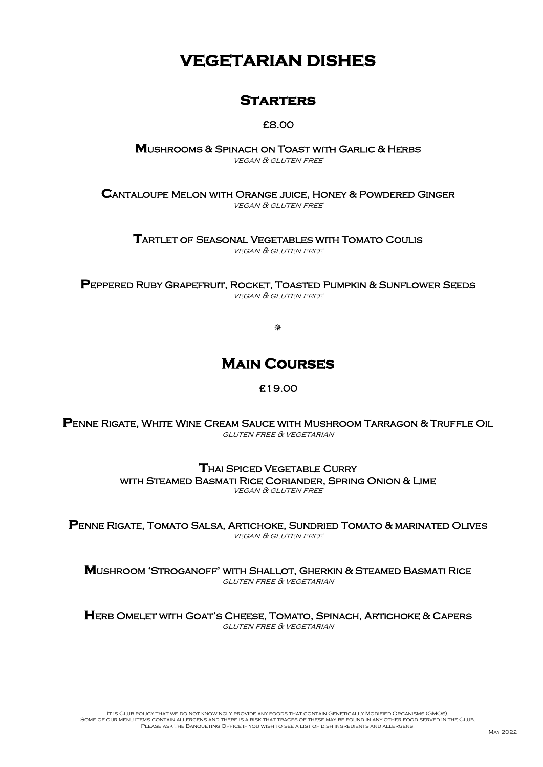# **VEGETARIAN DISHES**

### **Starters**

#### £8.00

**M**ushrooms & Spinach on Toast with Garlic & Herbs vegan & gluten free

**C**antaloupe Melon with Orange juice, Honey & Powdered Ginger vegan & gluten free

**T**artlet of Seasonal Vegetables with Tomato Coulis vegan & gluten free

**P**eppered Ruby Grapefruit, Rocket, Toasted Pumpkin & Sunflower Seeds vegan & gluten free

黎

## **Main Courses**

#### £19.00

**P**enne Rigate, White Wine Cream Sauce with Mushroom Tarragon & Truffle Oil gluten free & vegetarian

> **T**hai Spiced Vegetable Curry with Steamed Basmati Rice Coriander, Spring Onion & Lime vegan & gluten free

**P**enne Rigate, Tomato Salsa, Artichoke, Sundried Tomato & marinated Olives vegan & gluten free

**M**ushroom 'Stroganoff' with Shallot, Gherkin & Steamed Basmati Rice gluten free & vegetarian

**H**erb Omelet with Goat's Cheese, Tomato, Spinach, Artichoke & Capers gluten free & vegetarian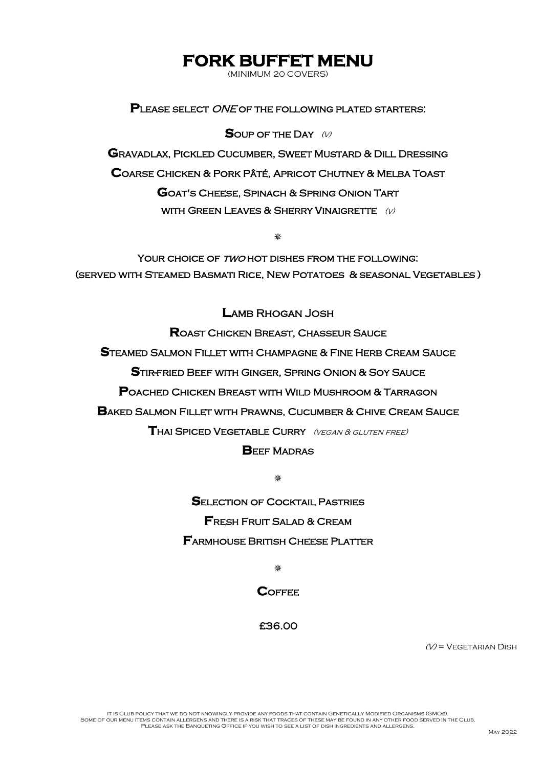## **FORK BUFFET MENU**

(MINIMUM 20 COVERS)

**P**lease select ONE of the following plated starters:

**S**OUP OF THE DAY (v)

**G**ravadlax, Pickled Cucumber, Sweet Mustard & Dill Dressing **C**oarse Chicken & Pork Pâté, Apricot Chutney & Melba Toast **G**oat's Cheese, Spinach & Spring Onion Tart WITH GREEN LEAVES & SHERRY VINAIGRETTE  $(V)$ 

黎

YOUR CHOICE OF TWO HOT DISHES FROM THE FOLLOWING: (served with Steamed Basmati Rice, New Potatoes & seasonal Vegetables )

**L**amb Rhogan Josh

**R**oast Chicken Breast, Chasseur Sauce

**S**teamed Salmon Fillet with Champagne & Fine Herb Cream Sauce

**S**tir-fried Beef with Ginger, Spring Onion & Soy Sauce

**P**oached Chicken Breast with Wild Mushroom & Tarragon

**B**aked Salmon Fillet with Prawns, Cucumber & Chive Cream Sauce

**T**hai Spiced Vegetable Curry (vegan & gluten free)

#### **BEEF MADRAS**

M.

**S**election of Cocktail Pastries **F**resh Fruit Salad & Cream **F**armhouse British Cheese Platter

₩

**COFFFE** 

£36.00

 $(V)$  = VEGETARIAN DISH